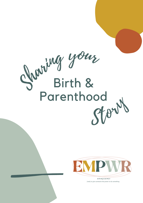



em pow er *(verb) to give someone the power to do something*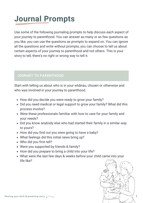## **Journal Prompts**

Use some of the following journaling prompts to help discuss each aspect of your journey to parenthood. You can answer as many or as few questions as you like, you can use the questions as prompts to expand on. You can ignore all the questions and write without prompts, you can choose to tell us about certain aspects of your journey to parenthood and not others. This is your story to tell, there's no right or wrong way to tell it.

#### **JOURNEY TO PARENTHOOD**

Start with telling us about who is in your whānau, chosen or otherwise and who was involved in your journey to parenthood.

- How did you decide you were ready to grow your family?
- Did you need medical or legal support to grow your family? What did this process involve?
- Were these professionals familiar with how to care for your family and your needs?
- Did you know anybody else who had started their family in a similar way to yours?
- How did you find out you were going to have a baby?
- What feelings did this initial news bring up?
- Who did you first tell?
- Were you supported by friends & family?
- How did you prepare to bring a child into your life?
- What were the last few days & weeks before your child came into your life like?

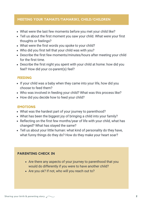#### **MEETING YOUR TAMAITI/TAMARIKI, CHILD/CHILDREN**

- What were the last few moments before you met your child like?
- Tell us about the first moment you saw your child. What were your first thoughts or feelings?
- What were the first words you spoke to your child?
- Who did you first tell that your child was with you?
- Describe the first few moments/minutes/hours after meeting your child for the first time.
- Describe the first night you spent with your child at home: how did you feel? How did your co-parent(s) feel?

#### **FEEDING**

- If your child was a baby when they came into your life, how did you choose to feed them?
- Who was involved in feeding your child? What was this process like?
- How did you decide how to feed your child?

#### **EMOTIONS**

- What was the hardest part of your journey to parenthood?
- What has been the biggest joy of bringing a child into your family?
- Reflecting on the first few months/year of life with your child, what has changed? What has stayed the same?
- Tell us about your little human: what kind of personality do they have, what funny things do they do? How do they make your heart soar?

#### **PARENTING CHECK IN**

- Are there any aspects of your journey to parenthood that you would do differently if you were to have another child?
- Are you ok? If not, who will you reach out to?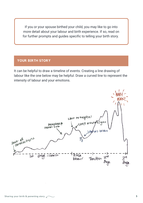If you or your spouse birthed your child, you may like to go into more detail about your labour and birth experience. If so, read on for further prompts and guides specific to telling your birth story.

#### **YOUR BIRTH STORY**

It can be helpful to draw a timeline of events. Creating a line drawing of labour like the one below may be helpful. Draw a curved line to represent the intensity of labour and your emotions.

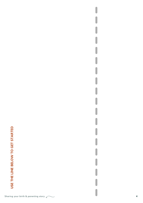# USE THE LINE BELOW TO GET STARTED **USE THE LINE BELOW TO GET STARTED**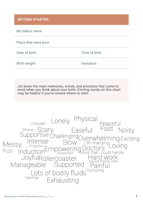My baby's name

Place they were born

Date of birth Time of birth

Birth weight Gestation

Jot down the main memories, words, and emotions that come to mind when you think about your birth. Circling words on this chart may be helpful if you're unsure where to start.

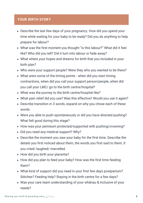#### **YOUR BIRTH STORY**

- Describe the last few days of your pregnancy. How did you spend your time while waiting for your baby to be ready? Did you do anything to help prepare for labour?
- What was the first moment you thought "is this labour?" What did it feel like? Who did you tell? Did it turn into labour or fade away?
- What where your hopes and dreams for birth that you included in your birth plan?
- Who were your support people? Were they who you wanted to be there?
- What were some of the timing points when did you start timing contractions, when did you call your support person/people, when did you call your LMC/ go to the birth centre/hospital?
- What was the journey to the birth centre/hospital like?
- What pain relief did you use? Was this effective? Would you use it again?
- Describe transition in 3 words, expand on why you chose each of these words.
- Were you able to push spontaneously or did you have directed pushing? What felt good during this stage?
- How was your perineum protected/supported with pushing/crowning?
- Did you need any medical support? Why?
- Describe the moment you saw your baby for the first time. Describe the details you first noticed about them, the words you first said to them, if you cried/ laughed/ marvelled.
- How did you birth your placenta?
- How did you plan to feed your baby? How was the first time feeding them?
- What kind of support did you need in your first few days postpartum? Stitches? Feeding help? Staying in the birth centre for a few days?
- Was your care team understanding of your whānau & inclusive of your needs?